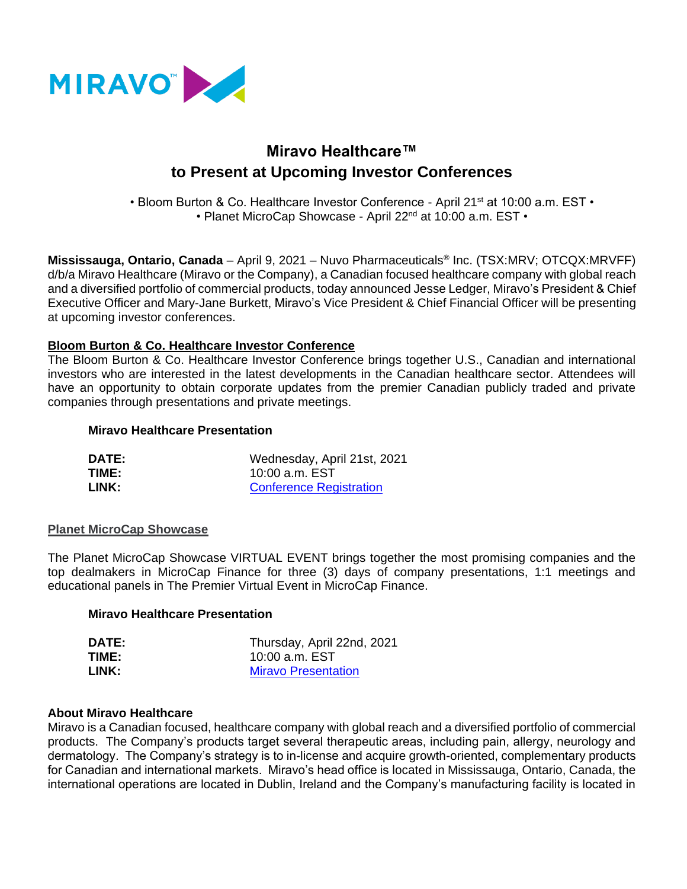

# **Miravo Healthcare™ to Present at Upcoming Investor Conferences**

• Bloom Burton & Co. Healthcare Investor Conference - April 21<sup>st</sup> at 10:00 a.m. EST • • Planet MicroCap Showcase - April 22<sup>nd</sup> at 10:00 a.m. EST •

**Mississauga, Ontario, Canada** – April 9, 2021 – Nuvo Pharmaceuticals® Inc. (TSX:MRV; OTCQX:MRVFF) d/b/a Miravo Healthcare (Miravo or the Company), a Canadian focused healthcare company with global reach and a diversified portfolio of commercial products, today announced Jesse Ledger, Miravo's President & Chief Executive Officer and Mary-Jane Burkett, Miravo's Vice President & Chief Financial Officer will be presenting at upcoming investor conferences.

## **Bloom Burton & Co. Healthcare Investor Conference**

The Bloom Burton & Co. Healthcare Investor Conference brings together U.S., Canadian and international investors who are interested in the latest developments in the Canadian healthcare sector. Attendees will have an opportunity to obtain corporate updates from the premier Canadian publicly traded and private companies through presentations and private meetings.

#### **Miravo Healthcare Presentation**

| <b>DATE:</b> | Wednesday, April 21st, 2021    |
|--------------|--------------------------------|
| TIME:        | 10:00 a.m. EST                 |
| LINK:        | <b>Conference Registration</b> |

#### **Planet MicroCap Showcase**

The Planet MicroCap Showcase VIRTUAL EVENT brings together the most promising companies and the top dealmakers in MicroCap Finance for three (3) days of company presentations, 1:1 meetings and educational panels in The Premier Virtual Event in MicroCap Finance.

#### **Miravo Healthcare Presentation**

| <b>DATE:</b> | Thursday, April 22nd, 2021 |
|--------------|----------------------------|
| TIME:        | 10:00 a.m. EST             |
| LINK:        | <b>Miravo Presentation</b> |

#### **About Miravo Healthcare**

Miravo is a Canadian focused, healthcare company with global reach and a diversified portfolio of commercial products. The Company's products target several therapeutic areas, including pain, allergy, neurology and dermatology. The Company's strategy is to in-license and acquire growth-oriented, complementary products for Canadian and international markets. Miravo's head office is located in Mississauga, Ontario, Canada, the international operations are located in Dublin, Ireland and the Company's manufacturing facility is located in